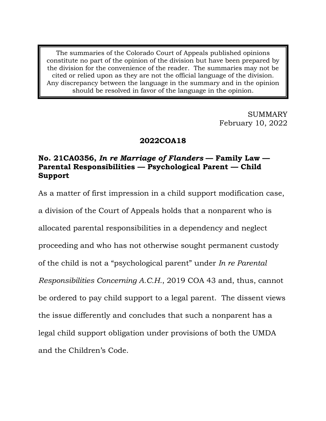The summaries of the Colorado Court of Appeals published opinions constitute no part of the opinion of the division but have been prepared by the division for the convenience of the reader. The summaries may not be cited or relied upon as they are not the official language of the division. Any discrepancy between the language in the summary and in the opinion should be resolved in favor of the language in the opinion.

> SUMMARY February 10, 2022

## **2022COA18**

# **No. 21CA0356,** *In re Marriage of Flanders* **— Family Law — Parental Responsibilities — Psychological Parent — Child Support**

As a matter of first impression in a child support modification case,

a division of the Court of Appeals holds that a nonparent who is allocated parental responsibilities in a dependency and neglect proceeding and who has not otherwise sought permanent custody of the child is not a "psychological parent" under *In re Parental Responsibilities Concerning A.C.H.*, 2019 COA 43 and, thus, cannot be ordered to pay child support to a legal parent. The dissent views the issue differently and concludes that such a nonparent has a legal child support obligation under provisions of both the UMDA and the Children's Code.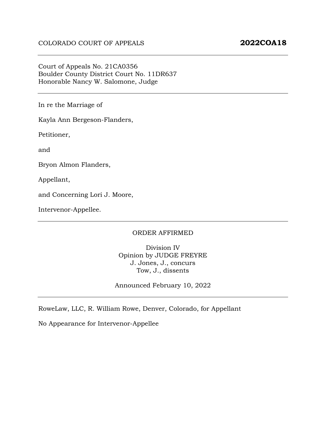#### Court of Appeals No. 21CA0356 Boulder County District Court No. 11DR637 Honorable Nancy W. Salomone, Judge

In re the Marriage of

Kayla Ann Bergeson-Flanders,

Petitioner,

and

Bryon Almon Flanders,

Appellant,

and Concerning Lori J. Moore,

Intervenor-Appellee.

#### ORDER AFFIRMED

Division IV Opinion by JUDGE FREYRE J. Jones, J., concurs Tow, J., dissents

Announced February 10, 2022

RoweLaw, LLC, R. William Rowe, Denver, Colorado, for Appellant

No Appearance for Intervenor-Appellee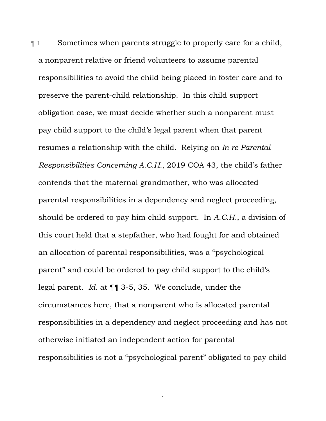¶ 1 Sometimes when parents struggle to properly care for a child, a nonparent relative or friend volunteers to assume parental responsibilities to avoid the child being placed in foster care and to preserve the parent-child relationship. In this child support obligation case, we must decide whether such a nonparent must pay child support to the child's legal parent when that parent resumes a relationship with the child. Relying on *In re Parental Responsibilities Concerning A.C.H.*, 2019 COA 43, the child's father contends that the maternal grandmother, who was allocated parental responsibilities in a dependency and neglect proceeding, should be ordered to pay him child support. In *A.C.H.*, a division of this court held that a stepfather, who had fought for and obtained an allocation of parental responsibilities, was a "psychological parent" and could be ordered to pay child support to the child's legal parent. *Id.* at ¶¶ 3-5, 35. We conclude, under the circumstances here, that a nonparent who is allocated parental responsibilities in a dependency and neglect proceeding and has not otherwise initiated an independent action for parental responsibilities is not a "psychological parent" obligated to pay child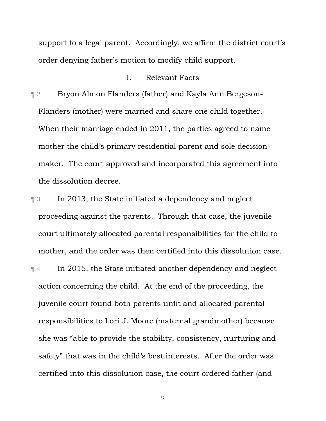support to a legal parent. Accordingly, we affirm the district court's order denying father's motion to modify child support.

#### I. Relevant Facts

¶ 2 Bryon Almon Flanders (father) and Kayla Ann Bergeson-Flanders (mother) were married and share one child together. When their marriage ended in 2011, the parties agreed to name mother the child's primary residential parent and sole decisionmaker. The court approved and incorporated this agreement into the dissolution decree.

¶ 3 In 2013, the State initiated a dependency and neglect proceeding against the parents. Through that case, the juvenile court ultimately allocated parental responsibilities for the child to mother, and the order was then certified into this dissolution case. ¶ 4 In 2015, the State initiated another dependency and neglect action concerning the child. At the end of the proceeding, the juvenile court found both parents unfit and allocated parental responsibilities to Lori J. Moore (maternal grandmother) because she was "able to provide the stability, consistency, nurturing and safety" that was in the child's best interests. After the order was certified into this dissolution case, the court ordered father (and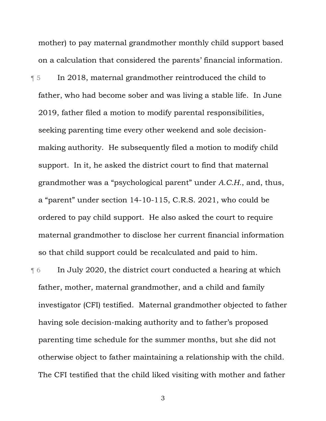mother) to pay maternal grandmother monthly child support based on a calculation that considered the parents' financial information.

¶ 5 In 2018, maternal grandmother reintroduced the child to father, who had become sober and was living a stable life. In June 2019, father filed a motion to modify parental responsibilities, seeking parenting time every other weekend and sole decisionmaking authority. He subsequently filed a motion to modify child support. In it, he asked the district court to find that maternal grandmother was a "psychological parent" under *A.C.H.*, and, thus, a "parent" under section 14-10-115, C.R.S. 2021, who could be ordered to pay child support. He also asked the court to require maternal grandmother to disclose her current financial information so that child support could be recalculated and paid to him.

¶ 6 In July 2020, the district court conducted a hearing at which father, mother, maternal grandmother, and a child and family investigator (CFI) testified. Maternal grandmother objected to father having sole decision-making authority and to father's proposed parenting time schedule for the summer months, but she did not otherwise object to father maintaining a relationship with the child. The CFI testified that the child liked visiting with mother and father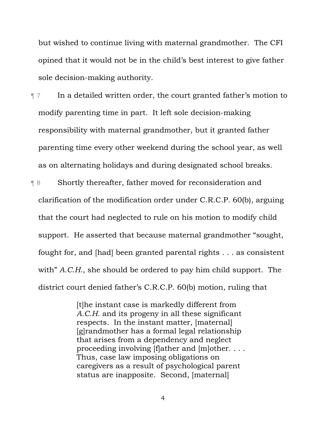but wished to continue living with maternal grandmother. The CFI opined that it would not be in the child's best interest to give father sole decision-making authority.

¶ 7 In a detailed written order, the court granted father's motion to modify parenting time in part. It left sole decision-making responsibility with maternal grandmother, but it granted father parenting time every other weekend during the school year, as well as on alternating holidays and during designated school breaks.

¶ 8 Shortly thereafter, father moved for reconsideration and clarification of the modification order under C.R.C.P. 60(b), arguing that the court had neglected to rule on his motion to modify child support. He asserted that because maternal grandmother "sought, fought for, and [had] been granted parental rights . . . as consistent with" *A.C.H.*, she should be ordered to pay him child support. The district court denied father's C.R.C.P. 60(b) motion, ruling that

> [t]he instant case is markedly different from *A.C.H.* and its progeny in all these significant respects. In the instant matter, [maternal] [g]randmother has a formal legal relationship that arises from a dependency and neglect proceeding involving [f]ather and [m]other. . . . Thus, case law imposing obligations on caregivers as a result of psychological parent status are inapposite. Second, [maternal]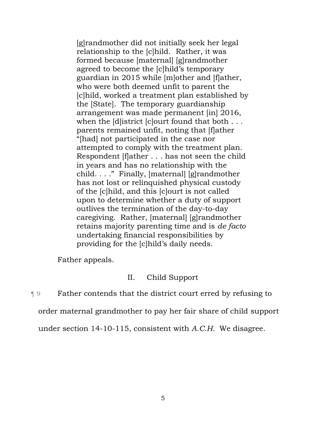[g]randmother did not initially seek her legal relationship to the [c]hild.Rather, it was formed because [maternal] [g]randmother agreed to become the [c]hild's temporary guardian in 2015 while [m]other and [f]ather, who were both deemed unfit to parent the [c]hild, worked a treatment plan established by the [State]. The temporary guardianship arrangement was made permanent [in] 2016, when the [d] istrict [c] ourt found that both ... parents remained unfit, noting that [f]ather "[had] not participated in the case nor attempted to comply with the treatment plan. Respondent [f]ather . . . has not seen the child in years and has no relationship with the child. . . ." Finally, [maternal] [g]randmother has not lost or relinquished physical custody of the [c]hild, and this [c]ourt is not called upon to determine whether a duty of support outlives the termination of the day-to-day caregiving. Rather, [maternal] [g]randmother retains majority parenting time and is *de facto*  undertaking financial responsibilities by providing for the [c]hild's daily needs.

Father appeals.

# II. Child Support

¶ 9 Father contends that the district court erred by refusing to

order maternal grandmother to pay her fair share of child support

under section 14-10-115, consistent with *A.C.H.* We disagree.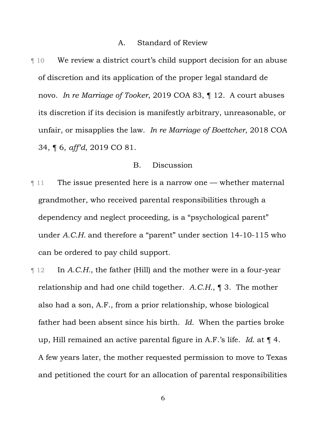#### A. Standard of Review

¶ 10 We review a district court's child support decision for an abuse of discretion and its application of the proper legal standard de novo. *In re Marriage of Tooker*, 2019 COA 83, ¶ 12. A court abuses its discretion if its decision is manifestly arbitrary, unreasonable, or unfair, or misapplies the law. *In re Marriage of Boettcher*, 2018 COA 34, ¶ 6, *aff'd*, 2019 CO 81.

### B. Discussion

- **The issue presented here is a narrow one whether maternal** grandmother, who received parental responsibilities through a dependency and neglect proceeding, is a "psychological parent" under *A.C.H.* and therefore a "parent" under section 14-10-115 who can be ordered to pay child support*.*
- ¶ 12 In *A.C.H.*, the father (Hill) and the mother were in a four-year relationship and had one child together. *A.C.H.*, ¶ 3. The mother also had a son, A.F., from a prior relationship, whose biological father had been absent since his birth. *Id.* When the parties broke up, Hill remained an active parental figure in A.F.'s life. *Id.* at ¶ 4. A few years later, the mother requested permission to move to Texas and petitioned the court for an allocation of parental responsibilities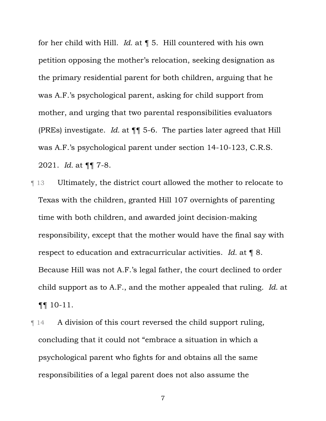for her child with Hill. *Id.* at ¶ 5. Hill countered with his own petition opposing the mother's relocation, seeking designation as the primary residential parent for both children, arguing that he was A.F.'s psychological parent, asking for child support from mother, and urging that two parental responsibilities evaluators (PREs) investigate. *Id.* at ¶¶ 5-6. The parties later agreed that Hill was A.F.'s psychological parent under section 14-10-123, C.R.S. 2021. *Id.* at ¶¶ 7-8.

¶ 13 Ultimately, the district court allowed the mother to relocate to Texas with the children, granted Hill 107 overnights of parenting time with both children, and awarded joint decision-making responsibility, except that the mother would have the final say with respect to education and extracurricular activities. *Id.* at ¶ 8. Because Hill was not A.F.'s legal father, the court declined to order child support as to A.F., and the mother appealed that ruling. *Id.* at ¶¶ 10-11.

¶ 14 A division of this court reversed the child support ruling, concluding that it could not "embrace a situation in which a psychological parent who fights for and obtains all the same responsibilities of a legal parent does not also assume the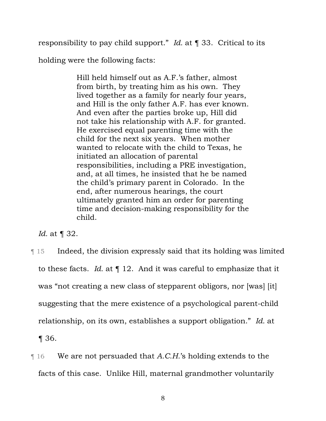responsibility to pay child support." *Id.* at ¶ 33. Critical to its

holding were the following facts:

Hill held himself out as A.F.'s father, almost from birth, by treating him as his own. They lived together as a family for nearly four years, and Hill is the only father A.F. has ever known. And even after the parties broke up, Hill did not take his relationship with A.F. for granted. He exercised equal parenting time with the child for the next six years. When mother wanted to relocate with the child to Texas, he initiated an allocation of parental responsibilities, including a PRE investigation, and, at all times, he insisted that he be named the child's primary parent in Colorado. In the end, after numerous hearings, the court ultimately granted him an order for parenting time and decision-making responsibility for the child.

*Id.* at ¶ 32.

- ¶ 15 Indeed, the division expressly said that its holding was limited to these facts. *Id.* at ¶ 12. And it was careful to emphasize that it was "not creating a new class of stepparent obligors, nor [was] [it] suggesting that the mere existence of a psychological parent-child relationship, on its own, establishes a support obligation." *Id.* at ¶ 36.
- ¶ 16 We are not persuaded that *A.C.H.*'s holding extends to the facts of this case. Unlike Hill, maternal grandmother voluntarily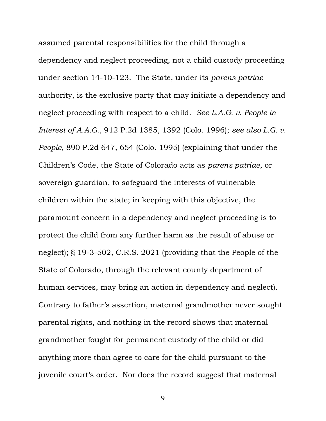assumed parental responsibilities for the child through a dependency and neglect proceeding, not a child custody proceeding under section 14-10-123. The State, under its *parens patriae* authority, is the exclusive party that may initiate a dependency and neglect proceeding with respect to a child. *See L.A.G. v. People in Interest of A.A.G.*, 912 P.2d 1385, 1392 (Colo. 1996); *see also L.G. v. People*, 890 P.2d 647, 654 (Colo. 1995) (explaining that under the Children's Code, the State of Colorado acts as *parens patriae*, or sovereign guardian, to safeguard the interests of vulnerable children within the state; in keeping with this objective, the paramount concern in a dependency and neglect proceeding is to protect the child from any further harm as the result of abuse or neglect); § 19-3-502, C.R.S. 2021 (providing that the People of the State of Colorado, through the relevant county department of human services, may bring an action in dependency and neglect). Contrary to father's assertion, maternal grandmother never sought parental rights, and nothing in the record shows that maternal grandmother fought for permanent custody of the child or did anything more than agree to care for the child pursuant to the juvenile court's order. Nor does the record suggest that maternal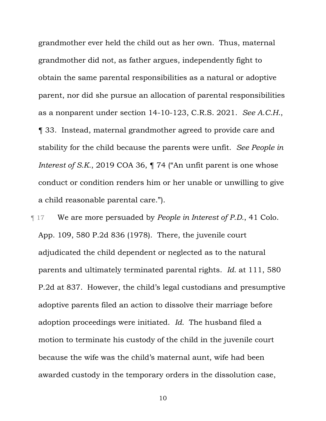grandmother ever held the child out as her own. Thus, maternal grandmother did not, as father argues, independently fight to obtain the same parental responsibilities as a natural or adoptive parent, nor did she pursue an allocation of parental responsibilities as a nonparent under section 14-10-123, C.R.S. 2021. *See A.C.H.*, ¶ 33. Instead, maternal grandmother agreed to provide care and stability for the child because the parents were unfit. *See People in Interest of S.K.*, 2019 COA 36,  $\P$  74 ("An unfit parent is one whose conduct or condition renders him or her unable or unwilling to give a child reasonable parental care.").

¶ 17 We are more persuaded by *People in Interest of P.D.*, 41 Colo. App. 109, 580 P.2d 836 (1978). There, the juvenile court adjudicated the child dependent or neglected as to the natural parents and ultimately terminated parental rights. *Id.* at 111, 580 P.2d at 837.However, the child's legal custodians and presumptive adoptive parents filed an action to dissolve their marriage before adoption proceedings were initiated. *Id.* The husband filed a motion to terminate his custody of the child in the juvenile court because the wife was the child's maternal aunt, wife had been awarded custody in the temporary orders in the dissolution case,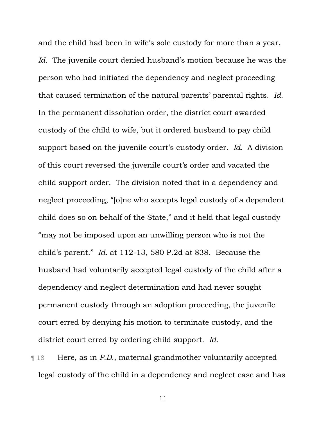and the child had been in wife's sole custody for more than a year. *Id.* The juvenile court denied husband's motion because he was the person who had initiated the dependency and neglect proceeding that caused termination of the natural parents' parental rights. *Id.* In the permanent dissolution order, the district court awarded custody of the child to wife, but it ordered husband to pay child support based on the juvenile court's custody order. *Id.* A division of this court reversed the juvenile court's order and vacated the child support order. The division noted that in a dependency and neglect proceeding, "[o]ne who accepts legal custody of a dependent child does so on behalf of the State," and it held that legal custody "may not be imposed upon an unwilling person who is not the child's parent." *Id.* at 112-13, 580 P.2d at 838. Because the husband had voluntarily accepted legal custody of the child after a dependency and neglect determination and had never sought permanent custody through an adoption proceeding, the juvenile court erred by denying his motion to terminate custody, and the district court erred by ordering child support. *Id.*

¶ 18 Here, as in *P.D.*, maternal grandmother voluntarily accepted legal custody of the child in a dependency and neglect case and has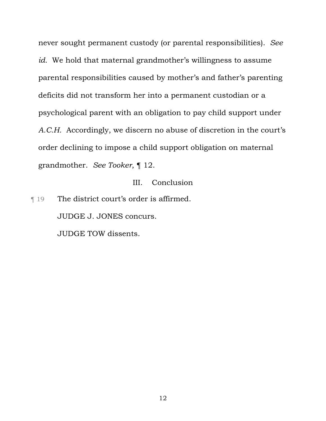never sought permanent custody (or parental responsibilities). *See id.* We hold that maternal grandmother's willingness to assume parental responsibilities caused by mother's and father's parenting deficits did not transform her into a permanent custodian or a psychological parent with an obligation to pay child support under *A.C.H.* Accordingly, we discern no abuse of discretion in the court's order declining to impose a child support obligation on maternal grandmother. *See Tooker*, ¶ 12.

### III. Conclusion

¶ 19 The district court's order is affirmed. JUDGE J. JONES concurs. JUDGE TOW dissents.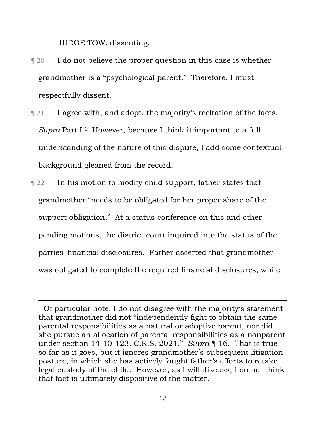JUDGE TOW, dissenting.

- ¶ 20 I do not believe the proper question in this case is whether grandmother is a "psychological parent." Therefore, I must respectfully dissent.
- **Term I agree with, and adopt, the majority's recitation of the facts.** *Supra* Part I.<sup>1</sup> However, because I think it important to a full understanding of the nature of this dispute, I add some contextual background gleaned from the record.
- **Term 22** In his motion to modify child support, father states that grandmother "needs to be obligated for her proper share of the support obligation." At a status conference on this and other pending motions, the district court inquired into the status of the parties' financial disclosures. Father asserted that grandmother was obligated to complete the required financial disclosures, while

 $1$  Of particular note, I do not disagree with the majority's statement that grandmother did not "independently fight to obtain the same parental responsibilities as a natural or adoptive parent, nor did she pursue an allocation of parental responsibilities as a nonparent under section 14-10-123, C.R.S. 2021." *Supra* ¶ 16. That is true so far as it goes, but it ignores grandmother's subsequent litigation posture, in which she has actively fought father's efforts to retake legal custody of the child. However, as I will discuss, I do not think that fact is ultimately dispositive of the matter.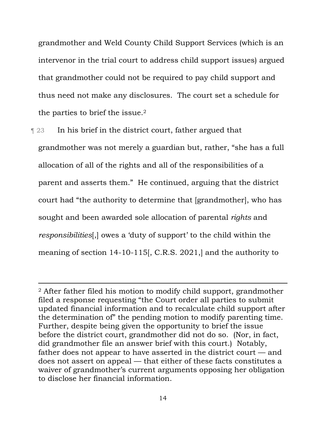grandmother and Weld County Child Support Services (which is an intervenor in the trial court to address child support issues) argued that grandmother could not be required to pay child support and thus need not make any disclosures. The court set a schedule for the parties to brief the issue.2

¶ 23 In his brief in the district court, father argued that grandmother was not merely a guardian but, rather, "she has a full allocation of all of the rights and all of the responsibilities of a parent and asserts them." He continued, arguing that the district court had "the authority to determine that [grandmother], who has sought and been awarded sole allocation of parental *rights* and *responsibilities*[,] owes a 'duty of support' to the child within the meaning of section 14-10-115[, C.R.S. 2021,] and the authority to

<sup>2</sup> After father filed his motion to modify child support, grandmother filed a response requesting "the Court order all parties to submit updated financial information and to recalculate child support after the determination of" the pending motion to modify parenting time. Further, despite being given the opportunity to brief the issue before the district court, grandmother did not do so. (Nor, in fact, did grandmother file an answer brief with this court.) Notably, father does not appear to have asserted in the district court — and does not assert on appeal — that either of these facts constitutes a waiver of grandmother's current arguments opposing her obligation to disclose her financial information.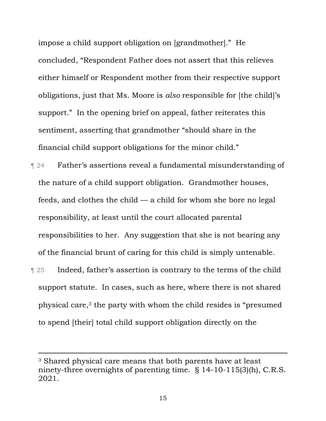impose a child support obligation on [grandmother]." He concluded, "Respondent Father does not assert that this relieves either himself or Respondent mother from their respective support obligations, just that Ms. Moore is *also* responsible for [the child]'s support." In the opening brief on appeal, father reiterates this sentiment, asserting that grandmother "should share in the financial child support obligations for the minor child."

¶ 24 Father's assertions reveal a fundamental misunderstanding of the nature of a child support obligation. Grandmother houses, feeds, and clothes the child — a child for whom she bore no legal responsibility, at least until the court allocated parental responsibilities to her. Any suggestion that she is not bearing any of the financial brunt of caring for this child is simply untenable.

**Terms** 1 Indeed, father's assertion is contrary to the terms of the child support statute. In cases, such as here, where there is not shared physical care,3 the party with whom the child resides is "presumed to spend [their] total child support obligation directly on the

<sup>3</sup> Shared physical care means that both parents have at least ninety-three overnights of parenting time. § 14-10-115(3)(h), C.R.S. 2021.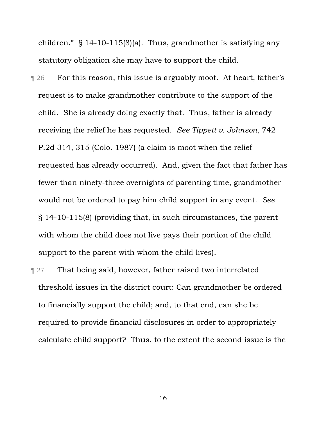children." § 14-10-115(8)(a). Thus, grandmother is satisfying any statutory obligation she may have to support the child.

**T** 26 For this reason, this issue is arguably moot. At heart, father's request is to make grandmother contribute to the support of the child. She is already doing exactly that. Thus, father is already receiving the relief he has requested. *See Tippett v. Johnson*, 742 P.2d 314, 315 (Colo. 1987) (a claim is moot when the relief requested has already occurred). And, given the fact that father has fewer than ninety-three overnights of parenting time, grandmother would not be ordered to pay him child support in any event. *See*  § 14-10-115(8) (providing that, in such circumstances, the parent with whom the child does not live pays their portion of the child support to the parent with whom the child lives).

**That being said, however, father raised two interrelated** threshold issues in the district court: Can grandmother be ordered to financially support the child; and, to that end, can she be required to provide financial disclosures in order to appropriately calculate child support? Thus, to the extent the second issue is the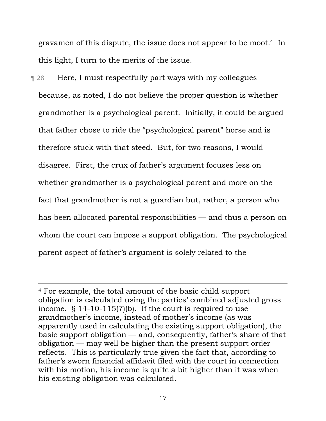gravamen of this dispute, the issue does not appear to be moot.4 In this light, I turn to the merits of the issue.

¶ 28 Here, I must respectfully part ways with my colleagues because, as noted, I do not believe the proper question is whether grandmother is a psychological parent. Initially, it could be argued that father chose to ride the "psychological parent" horse and is therefore stuck with that steed. But, for two reasons, I would disagree. First, the crux of father's argument focuses less on whether grandmother is a psychological parent and more on the fact that grandmother is not a guardian but, rather, a person who has been allocated parental responsibilities — and thus a person on whom the court can impose a support obligation. The psychological parent aspect of father's argument is solely related to the

<sup>4</sup> For example, the total amount of the basic child support obligation is calculated using the parties' combined adjusted gross income. § 14-10-115(7)(b). If the court is required to use grandmother's income, instead of mother's income (as was apparently used in calculating the existing support obligation), the basic support obligation — and, consequently, father's share of that obligation — may well be higher than the present support order reflects. This is particularly true given the fact that, according to father's sworn financial affidavit filed with the court in connection with his motion, his income is quite a bit higher than it was when his existing obligation was calculated.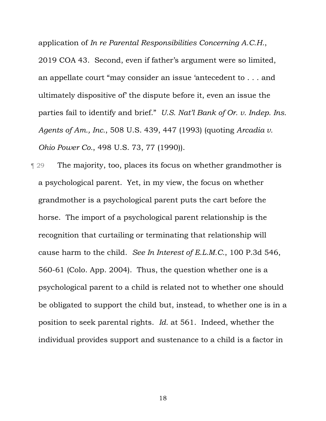application of *In re Parental Responsibilities Concerning A.C.H.*, 2019 COA 43. Second, even if father's argument were so limited, an appellate court "may consider an issue 'antecedent to . . . and ultimately dispositive of' the dispute before it, even an issue the parties fail to identify and brief." *U.S. Nat'l Bank of Or. v. Indep. Ins. Agents of Am., Inc.*, 508 U.S. 439, 447 (1993) (quoting *Arcadia v. Ohio Power Co.*, 498 U.S. 73, 77 (1990)).

¶ 29 The majority, too, places its focus on whether grandmother is a psychological parent. Yet, in my view, the focus on whether grandmother is a psychological parent puts the cart before the horse. The import of a psychological parent relationship is the recognition that curtailing or terminating that relationship will cause harm to the child. *See In Interest of E.L.M.C.*, 100 P.3d 546, 560-61 (Colo. App. 2004). Thus, the question whether one is a psychological parent to a child is related not to whether one should be obligated to support the child but, instead, to whether one is in a position to seek parental rights. *Id.* at 561. Indeed, whether the individual provides support and sustenance to a child is a factor in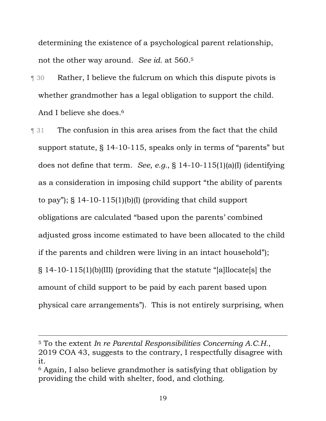determining the existence of a psychological parent relationship, not the other way around. *See id.* at 560.5

- ¶ 30 Rather, I believe the fulcrum on which this dispute pivots is whether grandmother has a legal obligation to support the child. And I believe she does.6
- **The confusion in this area arises from the fact that the child** support statute, § 14-10-115, speaks only in terms of "parents" but does not define that term. *See, e.g.*, § 14-10-115(1)(a)(I) (identifying as a consideration in imposing child support "the ability of parents to pay"); § 14-10-115(1)(b)(I) (providing that child support obligations are calculated "based upon the parents' combined adjusted gross income estimated to have been allocated to the child if the parents and children were living in an intact household"); § 14-10-115(1)(b)(III) (providing that the statute "[a]llocate[s] the amount of child support to be paid by each parent based upon physical care arrangements"). This is not entirely surprising, when

<sup>5</sup> To the extent *In re Parental Responsibilities Concerning A.C.H.*, 2019 COA 43, suggests to the contrary, I respectfully disagree with it.

<sup>6</sup> Again, I also believe grandmother is satisfying that obligation by providing the child with shelter, food, and clothing.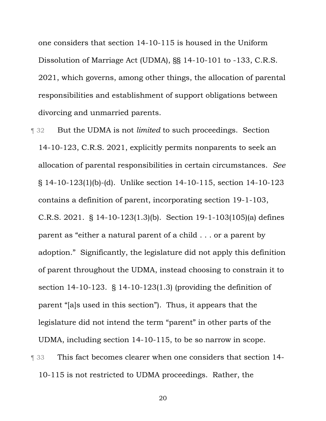one considers that section 14-10-115 is housed in the Uniform Dissolution of Marriage Act (UDMA), §§ 14-10-101 to -133, C.R.S. 2021, which governs, among other things, the allocation of parental responsibilities and establishment of support obligations between divorcing and unmarried parents.

- ¶ 32 But the UDMA is not *limited* to such proceedings. Section 14-10-123, C.R.S. 2021, explicitly permits nonparents to seek an allocation of parental responsibilities in certain circumstances. *See*  § 14-10-123(1)(b)-(d). Unlike section 14-10-115, section 14-10-123 contains a definition of parent, incorporating section 19-1-103, C.R.S. 2021. § 14-10-123(1.3)(b). Section 19-1-103(105)(a) defines parent as "either a natural parent of a child . . . or a parent by adoption." Significantly, the legislature did not apply this definition of parent throughout the UDMA, instead choosing to constrain it to section 14-10-123. § 14-10-123(1.3) (providing the definition of parent "[a]s used in this section"). Thus, it appears that the legislature did not intend the term "parent" in other parts of the UDMA, including section 14-10-115, to be so narrow in scope. ¶ 33 This fact becomes clearer when one considers that section 14-
	- 10-115 is not restricted to UDMA proceedings. Rather, the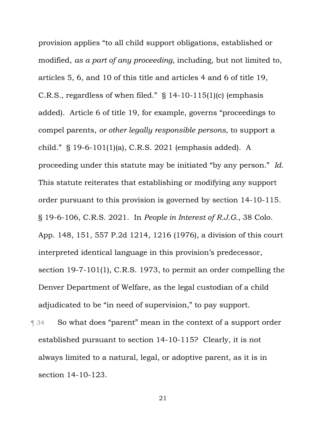provision applies "to all child support obligations, established or modified, *as a part of any proceeding*, including, but not limited to, articles 5, 6, and 10 of this title and articles 4 and 6 of title 19, C.R.S., regardless of when filed." § 14-10-115(1)(c) (emphasis added). Article 6 of title 19, for example, governs "proceedings to compel parents, *or other legally responsible persons*, to support a child." § 19-6-101(1)(a), C.R.S. 2021 (emphasis added). A proceeding under this statute may be initiated "by any person." *Id.* This statute reiterates that establishing or modifying any support order pursuant to this provision is governed by section 14-10-115. § 19-6-106, C.R.S. 2021. In *People in Interest of R.J.G.*, 38 Colo. App. 148, 151, 557 P.2d 1214, 1216 (1976), a division of this court interpreted identical language in this provision's predecessor, section 19-7-101(1), C.R.S. 1973, to permit an order compelling the Denver Department of Welfare, as the legal custodian of a child adjudicated to be "in need of supervision," to pay support.

¶ 34 So what does "parent" mean in the context of a support order established pursuant to section 14-10-115? Clearly, it is not always limited to a natural, legal, or adoptive parent, as it is in section 14-10-123.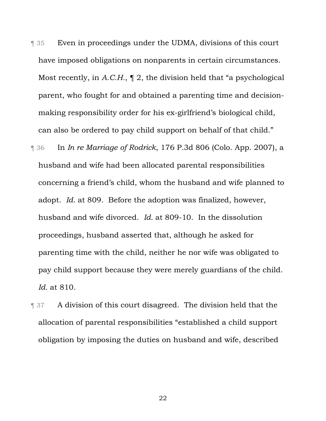¶ 35 Even in proceedings under the UDMA, divisions of this court have imposed obligations on nonparents in certain circumstances. Most recently, in *A.C.H.*, ¶ 2, the division held that "a psychological parent, who fought for and obtained a parenting time and decisionmaking responsibility order for his ex-girlfriend's biological child, can also be ordered to pay child support on behalf of that child."

- ¶ 36 In *In re Marriage of Rodrick*, 176 P.3d 806 (Colo. App. 2007), a husband and wife had been allocated parental responsibilities concerning a friend's child, whom the husband and wife planned to adopt. *Id.* at 809. Before the adoption was finalized, however, husband and wife divorced. *Id.* at 809-10. In the dissolution proceedings, husband asserted that, although he asked for parenting time with the child, neither he nor wife was obligated to pay child support because they were merely guardians of the child. *Id.* at 810.
- **Term 37** A division of this court disagreed. The division held that the allocation of parental responsibilities "established a child support obligation by imposing the duties on husband and wife, described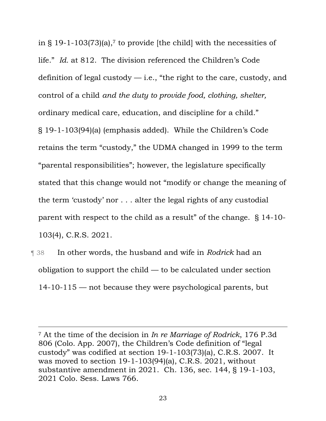in § 19-1-103(73)(a),<sup>7</sup> to provide [the child] with the necessities of life." *Id.* at 812. The division referenced the Children's Code definition of legal custody  $-$  i.e., "the right to the care, custody, and control of a child *and the duty to provide food, clothing, shelter,*  ordinary medical care, education, and discipline for a child." § 19-1-103(94)(a) (emphasis added). While the Children's Code retains the term "custody," the UDMA changed in 1999 to the term "parental responsibilities"; however, the legislature specifically stated that this change would not "modify or change the meaning of the term 'custody' nor . . . alter the legal rights of any custodial parent with respect to the child as a result" of the change. § 14-10- 103(4), C.R.S. 2021.

¶ 38 In other words, the husband and wife in *Rodrick* had an obligation to support the child — to be calculated under section 14-10-115 — not because they were psychological parents, but

<sup>7</sup> At the time of the decision in *In re Marriage of Rodrick*, 176 P.3d 806 (Colo. App. 2007), the Children's Code definition of "legal custody" was codified at section 19-1-103(73)(a), C.R.S. 2007. It was moved to section 19-1-103(94)(a), C.R.S. 2021, without substantive amendment in 2021. Ch. 136, sec. 144, § 19-1-103, 2021 Colo. Sess. Laws 766.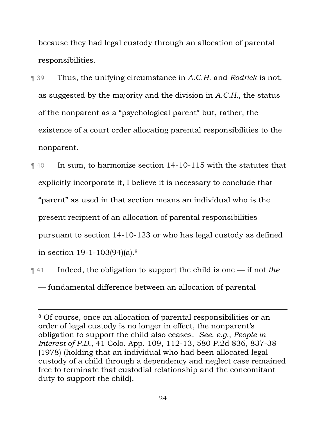because they had legal custody through an allocation of parental responsibilities.

- ¶ 39 Thus, the unifying circumstance in *A.C.H.* and *Rodrick* is not, as suggested by the majority and the division in *A.C.H.*, the status of the nonparent as a "psychological parent" but, rather, the existence of a court order allocating parental responsibilities to the nonparent.
- ¶ 40 In sum, to harmonize section 14-10-115 with the statutes that explicitly incorporate it, I believe it is necessary to conclude that "parent" as used in that section means an individual who is the present recipient of an allocation of parental responsibilities pursuant to section 14-10-123 or who has legal custody as defined in section 19-1-103(94)(a).8
- ¶ 41 Indeed, the obligation to support the child is one if not *the* — fundamental difference between an allocation of parental

<sup>8</sup> Of course, once an allocation of parental responsibilities or an order of legal custody is no longer in effect, the nonparent's obligation to support the child also ceases. *See, e.g.*, *People in Interest of P.D.*, 41 Colo. App. 109, 112-13, 580 P.2d 836, 837-38 (1978) (holding that an individual who had been allocated legal custody of a child through a dependency and neglect case remained free to terminate that custodial relationship and the concomitant duty to support the child).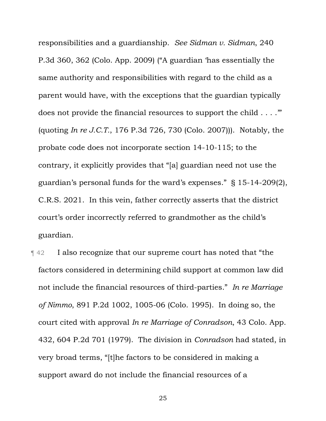responsibilities and a guardianship. *See Sidman v. Sidman*, 240 P.3d 360, 362 (Colo. App. 2009) ("A guardian 'has essentially the same authority and responsibilities with regard to the child as a parent would have, with the exceptions that the guardian typically does not provide the financial resources to support the child . . . .'" (quoting *In re J.C.T.*, 176 P.3d 726, 730 (Colo. 2007))). Notably, the probate code does not incorporate section 14-10-115; to the contrary, it explicitly provides that "[a] guardian need not use the guardian's personal funds for the ward's expenses." § 15-14-209(2), C.R.S. 2021. In this vein, father correctly asserts that the district court's order incorrectly referred to grandmother as the child's guardian.

¶ 42 I also recognize that our supreme court has noted that "the factors considered in determining child support at common law did not include the financial resources of third-parties." *In re Marriage of Nimmo*, 891 P.2d 1002, 1005-06 (Colo. 1995). In doing so, the court cited with approval *In re Marriage of Conradson*, 43 Colo. App. 432, 604 P.2d 701 (1979). The division in *Conradson* had stated, in very broad terms, "[t]he factors to be considered in making a support award do not include the financial resources of a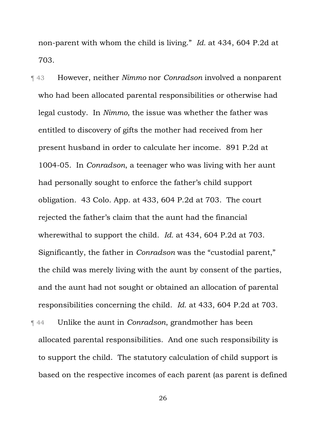non-parent with whom the child is living." *Id.* at 434, 604 P.2d at 703.

¶ 43 However, neither *Nimmo* nor *Conradson* involved a nonparent who had been allocated parental responsibilities or otherwise had legal custody. In *Nimmo*, the issue was whether the father was entitled to discovery of gifts the mother had received from her present husband in order to calculate her income. 891 P.2d at 1004-05. In *Conradson*, a teenager who was living with her aunt had personally sought to enforce the father's child support obligation. 43 Colo. App. at 433, 604 P.2d at 703. The court rejected the father's claim that the aunt had the financial wherewithal to support the child. *Id.* at 434, 604 P.2d at 703. Significantly, the father in *Conradson* was the "custodial parent," the child was merely living with the aunt by consent of the parties, and the aunt had not sought or obtained an allocation of parental responsibilities concerning the child. *Id.* at 433, 604 P.2d at 703.

¶ 44 Unlike the aunt in *Conradson*, grandmother has been allocated parental responsibilities. And one such responsibility is to support the child. The statutory calculation of child support is based on the respective incomes of each parent (as parent is defined